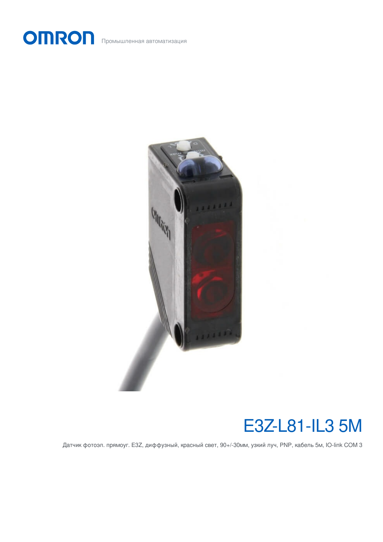OMRON Промышленная автоматизация



# E3Z-L81-IL3 5M

Датчик фотоэл. прямоуг. E3Z, диффузный, красный свет, 90+/-30мм, узкий луч, PNP, кабель 5м, IO-link COM 3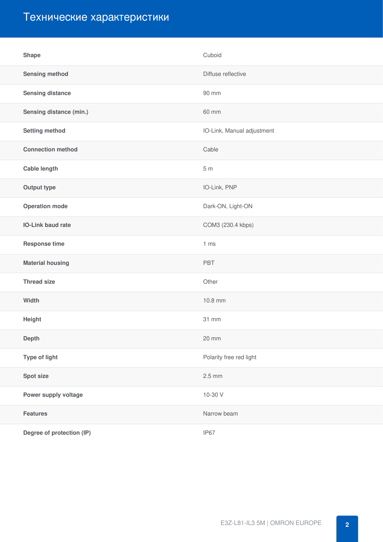## Технические характеристики

| <b>Shape</b>              | Cuboid                     |
|---------------------------|----------------------------|
| <b>Sensing method</b>     | Diffuse reflective         |
| <b>Sensing distance</b>   | 90 mm                      |
| Sensing distance (min.)   | 60 mm                      |
| <b>Setting method</b>     | IO-Link, Manual adjustment |
| <b>Connection method</b>  | Cable                      |
| <b>Cable length</b>       | 5m                         |
| <b>Output type</b>        | IO-Link, PNP               |
| <b>Operation mode</b>     | Dark-ON, Light-ON          |
| <b>IO-Link baud rate</b>  | COM3 (230.4 kbps)          |
| <b>Response time</b>      | 1 <sub>ms</sub>            |
| <b>Material housing</b>   | PBT                        |
| <b>Thread size</b>        | Other                      |
| Width                     | 10.8 mm                    |
| Height                    | 31 mm                      |
| <b>Depth</b>              | 20 mm                      |
| Type of light             | Polarity free red light    |
| Spot size                 | $2.5$ mm                   |
| Power supply voltage      | 10-30 V                    |
| <b>Features</b>           | Narrow beam                |
| Degree of protection (IP) | IP67                       |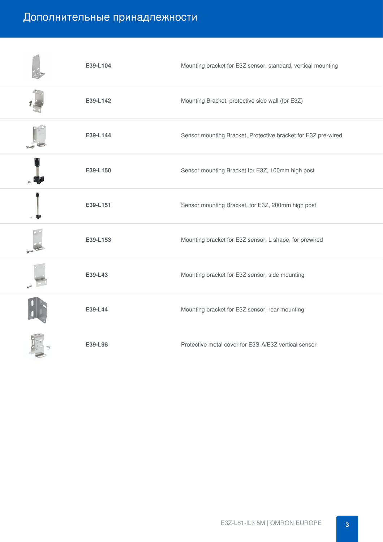## Дополнительные принадлежности

| E39-L104 | Mounting bracket for E3Z sensor, standard, vertical mounting  |
|----------|---------------------------------------------------------------|
| E39-L142 | Mounting Bracket, protective side wall (for E3Z)              |
| E39-L144 | Sensor mounting Bracket, Protective bracket for E3Z pre-wired |
| E39-L150 | Sensor mounting Bracket for E3Z, 100mm high post              |
| E39-L151 | Sensor mounting Bracket, for E3Z, 200mm high post             |
| E39-L153 | Mounting bracket for E3Z sensor, L shape, for prewired        |
| E39-L43  | Mounting bracket for E3Z sensor, side mounting                |
| E39-L44  | Mounting bracket for E3Z sensor, rear mounting                |
| E39-L98  | Protective metal cover for E3S-A/E3Z vertical sensor          |